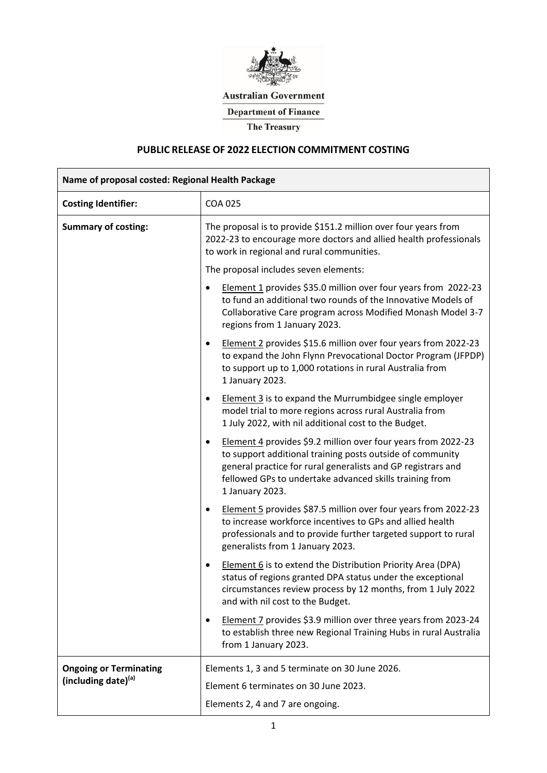

**Australian Government** 

**Department of Finance** 

**The Treasury** 

# **PUBLIC RELEASE OF 2022 ELECTION COMMITMENT COSTING**

| Name of proposal costed: Regional Health Package     |                                                                                                                                                                                                                                                                                       |  |  |
|------------------------------------------------------|---------------------------------------------------------------------------------------------------------------------------------------------------------------------------------------------------------------------------------------------------------------------------------------|--|--|
| <b>Costing Identifier:</b>                           | <b>COA 025</b>                                                                                                                                                                                                                                                                        |  |  |
| <b>Summary of costing:</b>                           | The proposal is to provide \$151.2 million over four years from<br>2022-23 to encourage more doctors and allied health professionals<br>to work in regional and rural communities.                                                                                                    |  |  |
|                                                      | The proposal includes seven elements:                                                                                                                                                                                                                                                 |  |  |
|                                                      | Element 1 provides \$35.0 million over four years from 2022-23<br>٠<br>to fund an additional two rounds of the Innovative Models of<br>Collaborative Care program across Modified Monash Model 3-7<br>regions from 1 January 2023.                                                    |  |  |
|                                                      | Element 2 provides \$15.6 million over four years from 2022-23<br>$\bullet$<br>to expand the John Flynn Prevocational Doctor Program (JFPDP)<br>to support up to 1,000 rotations in rural Australia from<br>1 January 2023.                                                           |  |  |
|                                                      | <b>Element 3</b> is to expand the Murrumbidgee single employer<br>٠<br>model trial to more regions across rural Australia from<br>1 July 2022, with nil additional cost to the Budget.                                                                                                |  |  |
|                                                      | Element 4 provides \$9.2 million over four years from 2022-23<br>$\bullet$<br>to support additional training posts outside of community<br>general practice for rural generalists and GP registrars and<br>fellowed GPs to undertake advanced skills training from<br>1 January 2023. |  |  |
|                                                      | Element 5 provides \$87.5 million over four years from 2022-23<br>to increase workforce incentives to GPs and allied health<br>professionals and to provide further targeted support to rural<br>generalists from 1 January 2023.                                                     |  |  |
|                                                      | Element 6 is to extend the Distribution Priority Area (DPA)<br>status of regions granted DPA status under the exceptional<br>circumstances review process by 12 months, from 1 July 2022<br>and with nil cost to the Budget.                                                          |  |  |
|                                                      | Element 7 provides \$3.9 million over three years from 2023-24<br>٠<br>to establish three new Regional Training Hubs in rural Australia<br>from 1 January 2023.                                                                                                                       |  |  |
| <b>Ongoing or Terminating</b><br>(including date)(a) | Elements 1, 3 and 5 terminate on 30 June 2026.<br>Element 6 terminates on 30 June 2023.                                                                                                                                                                                               |  |  |
|                                                      | Elements 2, 4 and 7 are ongoing.                                                                                                                                                                                                                                                      |  |  |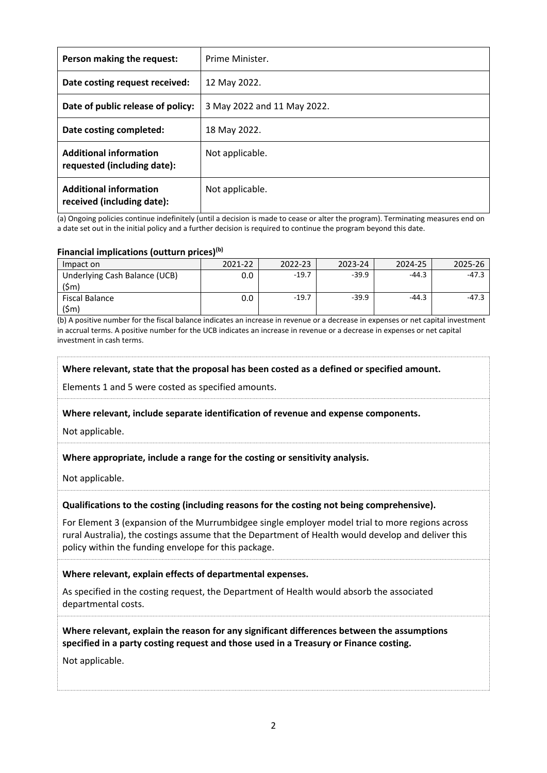| Person making the request:                                   | Prime Minister.             |
|--------------------------------------------------------------|-----------------------------|
| Date costing request received:                               | 12 May 2022.                |
| Date of public release of policy:                            | 3 May 2022 and 11 May 2022. |
| Date costing completed:                                      | 18 May 2022.                |
| <b>Additional information</b><br>requested (including date): | Not applicable.             |
| <b>Additional information</b><br>received (including date):  | Not applicable.             |

(a) Ongoing policies continue indefinitely (until a decision is made to cease or alter the program). Terminating measures end on a date set out in the initial policy and a further decision is required to continue the program beyond this date.

#### **Financial implications (outturn prices)(b)**

| Impact on                     |       | 3-24 | 24-25 |  |
|-------------------------------|-------|------|-------|--|
| Inderlying Cash Balance (UCB) | -19.7 |      |       |  |
|                               |       |      |       |  |
| iscal Balance                 |       |      |       |  |
|                               |       |      |       |  |

(b) A positive number for the fiscal balance indicates an increase in revenue or a decrease in expenses or net capital investment in accrual terms. A positive number for the UCB indicates an increase in revenue or a decrease in expenses or net capital investment in cash terms.

#### **Where relevant, state that the proposal has been costed as a defined or specified amount.**

Elements 1 and 5 were costed as specified amounts.

### **Where relevant, include separate identification of revenue and expense components.**

Not applicable.

### **Where appropriate, include a range for the costing or sensitivity analysis.**

Not applicable.

### **Qualifications to the costing (including reasons for the costing not being comprehensive).**

For Element 3 (expansion of the Murrumbidgee single employer model trial to more regions across rural Australia), the costings assume that the Department of Health would develop and deliver this policy within the funding envelope for this package.

#### **Where relevant, explain effects of departmental expenses.**

As specified in the costing request, the Department of Health would absorb the associated departmental costs.

**Where relevant, explain the reason for any significant differences between the assumptions specified in a party costing request and those used in a Treasury or Finance costing.**

Not applicable.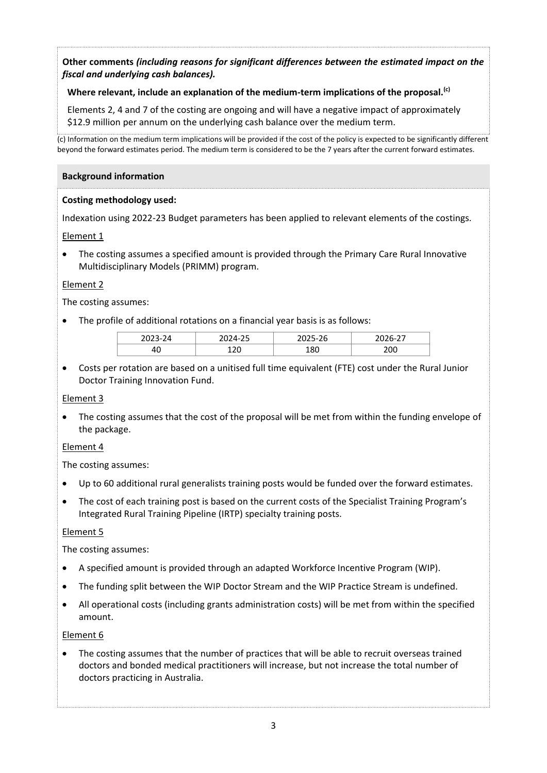# **Other comments** *(including reasons for significant differences between the estimated impact on the fiscal and underlying cash balances).*

## **Where relevant, include an explanation of the medium-term implications of the proposal.(c)**

Elements 2, 4 and 7 of the costing are ongoing and will have a negative impact of approximately \$12.9 million per annum on the underlying cash balance over the medium term.

(c) Information on the medium term implications will be provided if the cost of the policy is expected to be significantly different beyond the forward estimates period. The medium term is considered to be the 7 years after the current forward estimates.

### **Background information**

### **Costing methodology used:**

Indexation using 2022-23 Budget parameters has been applied to relevant elements of the costings.

### Element 1

 The costing assumes a specified amount is provided through the Primary Care Rural Innovative Multidisciplinary Models (PRIMM) program.

### Element 2

The costing assumes:

The profile of additional rotations on a financial year basis is as follows:

| ำกาา | $\prime$ . | -            | $\sim$ $\sim$ |
|------|------------|--------------|---------------|
| טיד  | ົາຕ<br>ᆠᄼ  | $\mathbf{v}$ | 200           |

 Costs per rotation are based on a unitised full time equivalent (FTE) cost under the Rural Junior Doctor Training Innovation Fund.

### Element 3

 The costing assumes that the cost of the proposal will be met from within the funding envelope of the package.

### Element 4

The costing assumes:

- Up to 60 additional rural generalists training posts would be funded over the forward estimates.
- The cost of each training post is based on the current costs of the Specialist Training Program's Integrated Rural Training Pipeline (IRTP) specialty training posts.

### Element 5

The costing assumes:

- A specified amount is provided through an adapted Workforce Incentive Program (WIP).
- The funding split between the WIP Doctor Stream and the WIP Practice Stream is undefined.
- All operational costs (including grants administration costs) will be met from within the specified amount.

### Element 6

• The costing assumes that the number of practices that will be able to recruit overseas trained doctors and bonded medical practitioners will increase, but not increase the total number of doctors practicing in Australia.